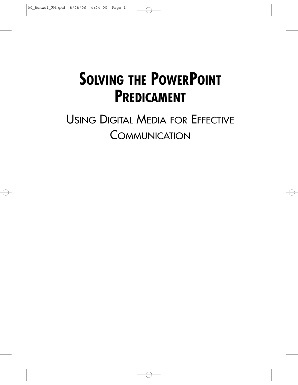# **SOLVING THE POWERPOINT PREDICAMENT**

USING DIGITAL MEDIA FOR EFFECTIVE **COMMUNICATION**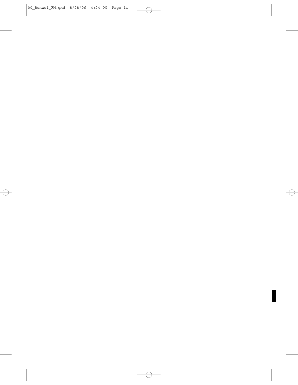$\oplus$  $\overline{\phantom{0}}$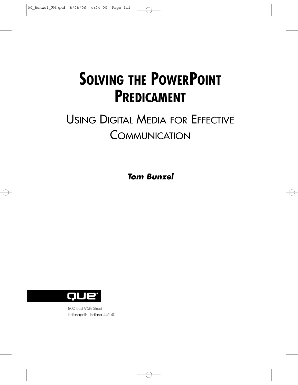# **SOLVING THE POWERPOINT PREDICAMENT**

# USING DIGITAL MEDIA FOR EFFECTIVE **COMMUNICATION**

**Tom Bunzel**



800 East 96th Street Indianapolis, Indiana 46240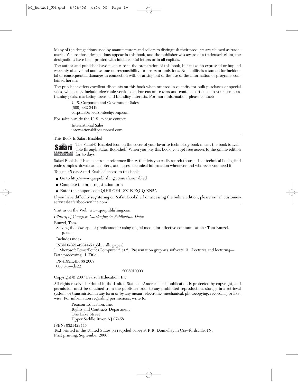Many of the designations used by manufacturers and sellers to distinguish their products are claimed as trademarks. Where those designations appear in this book, and the publisher was aware of a trademark claim, the designations have been printed with initial capital letters or in all capitals.

The author and publisher have taken care in the preparation of this book, but make no expressed or implied warranty of any kind and assume no responsibility for errors or omissions. No liability is assumed for incidental or consequential damages in connection with or arising out of the use of the information or programs contained herein.

The publisher offers excellent discounts on this book when ordered in quantity for bulk purchases or special sales, which may include electronic versions and/or custom covers and content particular to your business, training goals, marketing focus, and branding interests. For more information, please contact:

U. S. Corporate and Government Sales (800) 382-3419 corpsales@pearsontechgroup.com

For sales outside the U. S., please contact:

International Sales international@pearsoned.com

#### This Book Is Safari Enabled

The Safari® Enabled icon on the cover of your favorite technology book means the book is avail-**Safari** able through Safari Bookshelf. When you buy this book, you get free access to the online edition **ENABLED** for 45 days.

Safari Bookshelf is an electronic reference library that lets you easily search thousands of technical books, find code samples, download chapters, and access technical information whenever and wherever you need it.

To gain 45-day Safari Enabled access to this book:

- Go to http://www.quepublishing.com/safarienabled
- Complete the brief registration form
- Enter the coupon code QIH2-GF4I-8X1E-EQIQ-XN2A

If you have difficulty registering on Safari Bookshelf or accessing the online edition, please e-mail customerservice@safaribooksonline.com.

Visit us on the Web: www.quepublishing.com

*Library of Congress Cataloging-in-Publication Data:*

Bunzel, Tom.

Solving the powerpoint predicament : using digital media for effective communication / Tom Bunzel. p. cm.

Includes index.

ISBN 0-321-42344-5 (pbk. : alk. paper)

1. Microsoft PowerPoint (Computer file) 2. Presentation graphics software. 3. Lectures and lecturing— Data processing. I. Title.

PN4193.L4B788 2007 005.5'8—dc22

2006019903

Copyright © 2007 Pearson Education, Inc.

All rights reserved. Printed in the United States of America. This publication is protected by copyright, and permission must be obtained from the publisher prior to any prohibited reproduction, storage in a retrieval system, or transmission in any form or by any means, electronic, mechanical, photocopying, recording, or likewise. For information regarding permissions, write to:

Pearson Education, Inc. Rights and Contracts Department One Lake Street Upper Saddle River, NJ 07458

ISBN: 0321423445

Text printed in the United States on recycled paper at R.R. Donnelley in Crawfordsville, IN. First printing, September 2006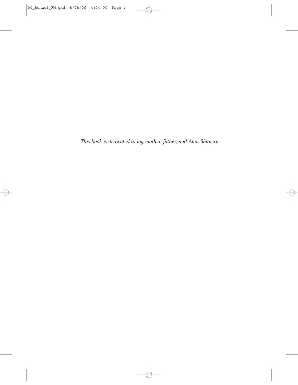*This book is dedicated to my mother, father, and Alan Shapero.*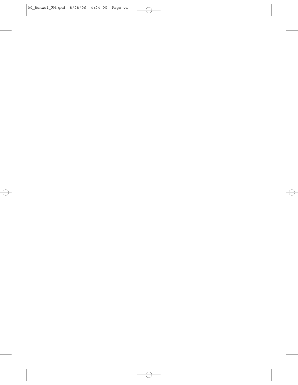$\oplus$  $\overline{\phantom{0}}$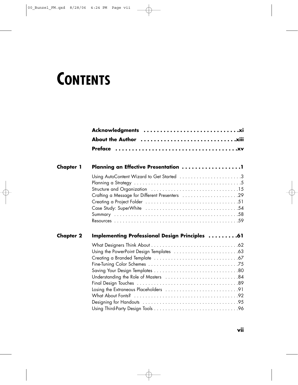# **CONTENTS**

| Chapter 1 | Planning an Effective Presentation 1                                                        |
|-----------|---------------------------------------------------------------------------------------------|
|           | Using AutoContent Wizard to Get Started 3<br>Crafting a Message for Different Presenters 29 |
| Chapter 2 | Implementing Professional Design Principles  61                                             |
|           | Understanding the Role of Masters 84                                                        |

 $\oplus$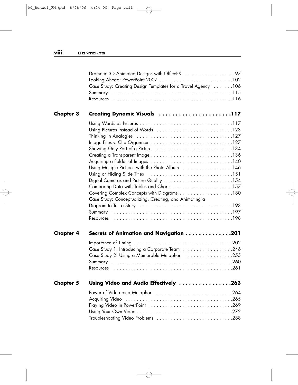## **viii** Contents

|                  | Case Study: Creating Design Templates for a Travel Agency 106                                                                                                                                                                                     |
|------------------|---------------------------------------------------------------------------------------------------------------------------------------------------------------------------------------------------------------------------------------------------|
| <b>Chapter 3</b> | Creating Dynamic Visuals 117                                                                                                                                                                                                                      |
|                  | Using Multiple Pictures with the Photo Album 146<br>Digital Cameras and Picture Quality 154<br>Comparing Data with Tables and Charts 157<br>Covering Complex Concepts with Diagrams 180<br>Case Study: Conceptualizing, Creating, and Animating a |
|                  |                                                                                                                                                                                                                                                   |
| <b>Chapter 4</b> | Secrets of Animation and Navigation 201                                                                                                                                                                                                           |
|                  |                                                                                                                                                                                                                                                   |
|                  | Case Study 1: Introducing a Corporate Team 246                                                                                                                                                                                                    |
|                  | Case Study 2: Using a Memorable Metaphor 255                                                                                                                                                                                                      |
|                  |                                                                                                                                                                                                                                                   |
| <b>Chapter 5</b> | Using Video and Audio Effectively 263                                                                                                                                                                                                             |
|                  | Playing Video in PowerPoint 269                                                                                                                                                                                                                   |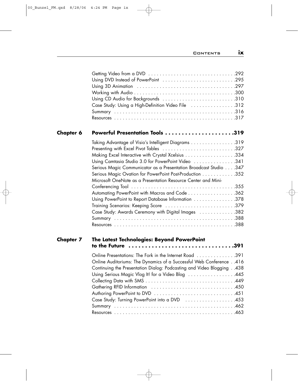|                  | Using DVD Instead of PowerPoint 295<br>Using CD Audio for Backgrounds 310<br>Case Study: Using a High-Definition Video File 312                                                                                                                                                                                                                                                                                                                                                                                                                                                                                       |  |
|------------------|-----------------------------------------------------------------------------------------------------------------------------------------------------------------------------------------------------------------------------------------------------------------------------------------------------------------------------------------------------------------------------------------------------------------------------------------------------------------------------------------------------------------------------------------------------------------------------------------------------------------------|--|
| <b>Chapter 6</b> | Powerful Presentation Tools 319                                                                                                                                                                                                                                                                                                                                                                                                                                                                                                                                                                                       |  |
|                  | Taking Advantage of Visio's Intelligent Diagrams 319<br>Presenting with Excel Pivot Tables 327<br>Making Excel Interactive with Crystal Xcelsius 334<br>Using Camtasia Studio 3.0 for PowerPoint Video 341<br>Serious Magic Communicator as a Presentation Broadcast Studio 347<br>Serious Magic Ovation for PowerPoint Post-Production 352<br>Microsoft OneNote as a Presentation Resource Center and Mini-<br>Automating PowerPoint with Macros and Code 362<br>Using PowerPoint to Report Database Information 378<br>Training Scenarios: Keeping Score 379<br>Case Study: Awards Ceremony with Digital Images 382 |  |
| <b>Chapter 7</b> | The Latest Technologies: Beyond PowerPoint<br>to the Future 391<br>Online Presentations: The Fork in the Internet Road 391<br>Online Auditoriums: The Dynamics of a Successful Web Conference 416<br>Continuing the Presentation Dialog: Podcasting and Video Blogging438<br>Using Serious Magic Vlog It! for a Video Blog  .445<br>Case Study: Turning PowerPoint into a DVD 453                                                                                                                                                                                                                                     |  |

## **ix**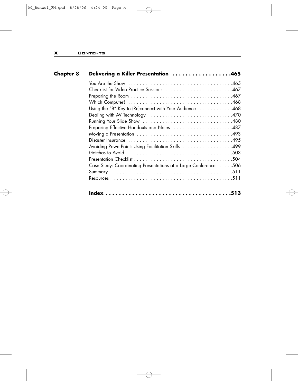### **x** Contents

| Chapter 8 | Delivering a Killer Presentation 465                                          |
|-----------|-------------------------------------------------------------------------------|
|           |                                                                               |
|           | Checklist for Video Practice Sessions 467                                     |
|           |                                                                               |
|           |                                                                               |
|           | Using the "B" Key to (Re)connect with Your Audience $\dots\dots\dots\dots468$ |
|           |                                                                               |
|           |                                                                               |
|           | Preparing Effective Handouts and Notes 487                                    |
|           |                                                                               |
|           |                                                                               |
|           | Avoiding PowerPoint: Using Facilitation Skills 499                            |
|           |                                                                               |
|           |                                                                               |
|           | Case Study: Coordinating Presentations at a Large Conference 506              |
|           |                                                                               |
|           |                                                                               |
|           |                                                                               |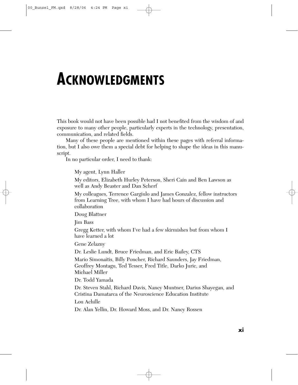# **ACKNOWLEDGMENTS**

This book would not have been possible had I not benefited from the wisdom of and exposure to many other people, particularly experts in the technology, presentation, communication, and related fields.

Many of these people are mentioned within these pages with referral information, but I also owe them a special debt for helping to shape the ideas in this manuscript.

In no particular order, I need to thank:

My agent, Lynn Haller

My editors, Elizabeth Hurley Peterson, Sheri Cain and Ben Lawson as well as Andy Beaster and Dan Scherf

My colleagues, Terrence Gargiulo and James Gonzalez, fellow instructors from Learning Tree, with whom I have had hours of discussion and collaboration

Doug Blattner

Jim Bass

Gregg Ketter, with whom I've had a few skirmishes but from whom I have learned a lot

Gene Zelazny

Dr. Leslie Lundt, Bruce Friedman, and Eric Bailey, CTS

Mario Simonaitis, Billy Poncher, Richard Saunders, Jay Friedman, Geoffrey Montagu, Ted Tesser, Fred Title, Darko Juric, and Michael Miller

Dr. Todd Yamada

Dr. Steven Stahl, Richard Davis, Nancy Muntner, Darius Shayegan, and Cristina Damatarca of the Neuroscience Education Institute

Lou Achille

Dr. Alan Yellin, Dr. Howard Moss, and Dr. Nancy Rossen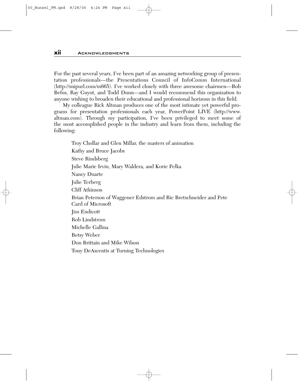#### **xii** Acknowledgments

00\_Bunzel\_FM.qxd 8/28/06 4:24 PM Page xii

For the past several years, I've been part of an amazing networking group of presentation professionals—the Presentations Council of InfoComm International (http://snipurl.com/m665). I've worked closely with three awesome chairmen—Bob Befus, Ray Guyot, and Todd Dunn—and I would recommend this organization to anyone wishing to broaden their educational and professional horizons in this field.

My colleague Rick Altman produces one of the most intimate yet powerful programs for presentation professionals each year, PowerPoint LIVE (http://www. altman.com). Through my participation, I've been privileged to meet some of the most accomplished people in the industry and learn from them, including the following:

Troy Chollar and Glen Millar, the masters of animation Kathy and Bruce Jacobs Steve Rindsberg Julie Marie Irvin, Mary Waldera, and Korie Pelka Nancy Duarte Julie Terberg Cliff Atkinson Brian Peterson of Waggener Edstrom and Ric Bretschneider and Pete Card of Microsoft Jim Endicott Rob Lindstrom Michelle Gallina Betsy Weber Don Brittain and Mike Wilson Tony DeAscentis at Turning Technologies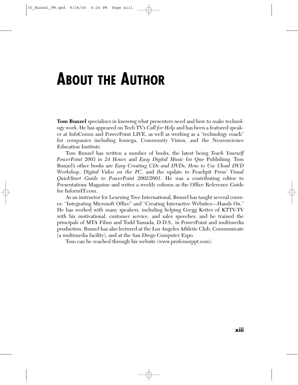# **ABOUT THE AUTHOR**

**Tom Bunzel** specializes in knowing what presenters need and how to make technology work. He has appeared on Tech TV's *Call for Help* and has been a featured speaker at InfoComm and PowerPoint LIVE, as well as working as a "technology coach" for companies including Iomega, Community Vision, and the Neuroscience Education Institute.

Tom Bunzel has written a number of books, the latest being *Teach Yourself PowerPoint 2003 in 24 Hours* and *Easy Digital Music* for Que Publishing. Tom Bunzel's other books are *Easy Creating CDs and DVDs*, *How to Use Ulead DVD Workshop*, *Digital Video on the PC*, and the update to Peachpit Press' *Visual QuickStart Guide to PowerPoint 2002/2001*. He was a contributing editor to Presentations Magazine and writes a weekly column as the Office Reference Guide for InformIT.com.

As an instructor for Learning Tree International, Bunzel has taught several courses: "Integrating Microsoft Office" and "Creating Interactive Websites—Hands On." He has worked with many speakers, including helping Gregg Ketter of KTTV-TV with his motivational, customer service, and sales speeches, and he trained the principals of MTA Films and Todd Yamada, D.D.S., in PowerPoint and multimedia production. Bunzel has also lectured at the Los Angeles Athletic Club, Communicate (a multimedia facility), and at the San Diego Computer Expo.

Tom can be reached through his website (www.professorppt.com).

**xiii**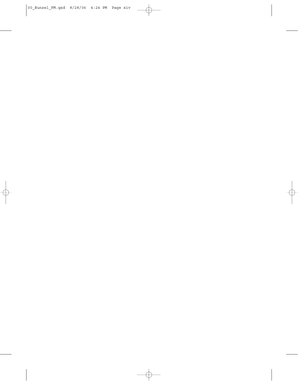$\overline{\bigoplus}$  $\overline{\phantom{a}}$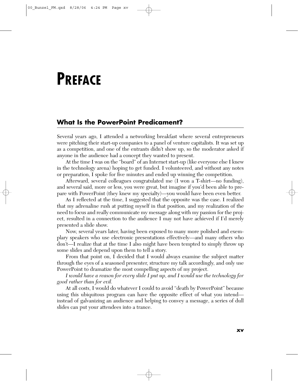# **PREFACE**

### **What Is the PowerPoint Predicament?**

Several years ago, I attended a networking breakfast where several entrepreneurs were pitching their start-up companies to a panel of venture capitalists. It was set up as a competition, and one of the entrants didn't show up, so the moderator asked if anyone in the audience had a concept they wanted to present.

At the time I was on the "board" of an Internet start-up (like everyone else I knew in the technology arena) hoping to get funded. I volunteered, and without any notes or preparation, I spoke for five minutes and ended up winning the competition.

Afterward, several colleagues congratulated me (I won a T-shirt—no funding), and several said, more or less, you were great, but imagine if you'd been able to prepare with PowerPoint (they knew my specialty)—you would have been even better.

As I reflected at the time, I suggested that the opposite was the case. I realized that my adrenaline rush at putting myself in that position, and my realization of the need to focus and really communicate my message along with my passion for the project, resulted in a connection to the audience I may not have achieved if I'd merely presented a slide show.

Now, several years later, having been exposed to many more polished and exemplary speakers who use electronic presentations effectively—and many others who don't—I realize that at the time I also might have been tempted to simply throw up some slides and depend upon them to tell a story.

From that point on, I decided that I would always examine the subject matter through the eyes of a seasoned presenter, structure my talk accordingly, and only use PowerPoint to dramatize the most compelling aspects of my project.

*I would have a reason for every slide I put up, and I would use the technology for good rather than for evil.*

At all costs, I would do whatever I could to avoid "death by PowerPoint" because using this ubiquitous program can have the opposite effect of what you intend instead of galvanizing an audience and helping to convey a message, a series of dull slides can put your attendees into a trance.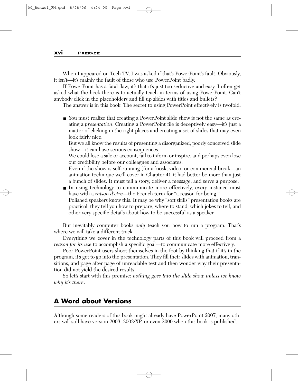#### **xvi** Preface

When I appeared on Tech TV, I was asked if that's PowerPoint's fault. Obviously, it isn't—it's mainly the fault of those who use PowerPoint badly.

If PowerPoint has a fatal flaw, it's that it's just too seductive and easy. I often get asked what the heck there is to actually teach in terms of using PowerPoint. Can't anybody click in the placeholders and fill up slides with titles and bullets?

The answer is in this book. The secret to using PowerPoint effectively is twofold:

■ You must realize that creating a PowerPoint slide show is not the same as creating a *presentation*. Creating a PowerPoint file is deceptively easy—it's just a matter of clicking in the right places and creating a set of slides that may even look fairly nice.

But we all know the results of presenting a disorganized, poorly conceived slide show—it can have serious consequences.

We could lose a sale or account, fail to inform or inspire, and perhaps even lose our credibility before our colleagues and associates.

Even if the show is self-running (for a kiosk, video, or commercial break—an animation technique we'll cover in Chapter 4), it had better be more than just a bunch of slides. It must tell a story, deliver a message, and serve a purpose.

■ In using technology to communicate more effectively, every instance must have with a *raison d'etre*—the French term for "a reason for being." Polished speakers know this. It may be why "soft skills" presentation books are practical: they tell you how to prepare, where to stand, which jokes to tell, and other very specific details about how to be successful as a speaker.

But inevitably computer books *only* teach you how to run a program. That's where we will take a different track.

Everything we cover in the technology parts of this book will proceed from a *reason for its use* to accomplish a specific goal—to communicate more effectively.

Poor PowerPoint users shoot themselves in the foot by thinking that if it's in the program, it's got to go into the presentation. They fill their slides with animation, transitions, and page after page of unreadable text and then wonder why their presentation did not yield the desired results.

So let's start with this premise: *nothing goes into the slide show unless we know why it's there*.

### **A Word about Versions**

Although some readers of this book might already have PowerPoint 2007, many others will still have version 2003, 2002/XP, or even 2000 when this book is published.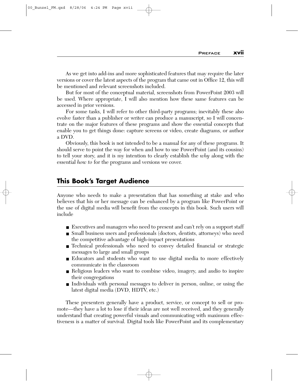As we get into add-ins and more sophisticated features that may require the later versions or cover the latest aspects of the program that came out in Office 12, this will be mentioned and relevant screenshots included.

But for most of the conceptual material, screenshots from PowerPoint 2003 will be used. Where appropriate, I will also mention how these same features can be accessed in prior versions.

For some tasks, I will refer to other third-party programs; inevitably these also evolve faster than a publisher or writer can produce a manuscript, so I will concentrate on the major features of these programs and show the essential concepts that enable you to get things done: capture screens or video, create diagrams, or author a DVD.

Obviously, this book is not intended to be a manual for any of these programs. It should serve to point the way for when and how to use PowerPoint (and its cousins) to tell your story, and it is my intention to clearly establish the *why* along with the essential *how to* for the programs and versions we cover.

### **This Book's Target Audience**

Anyone who needs to make a presentation that has something at stake and who believes that his or her message can be enhanced by a program like PowerPoint or the use of digital media will benefit from the concepts in this book. Such users will include

- Executives and managers who need to present and can't rely on a support staff
- Small business users and professionals (doctors, dentists, attorneys) who need the competitive advantage of high-impact presentations
- Technical professionals who need to convey detailed financial or strategic messages to large and small groups
- Educators and students who want to use digital media to more effectively communicate in the classroom
- Religious leaders who want to combine video, imagery, and audio to inspire their congregations
- Individuals with personal messages to deliver in person, online, or using the latest digital media (DVD, HDTV, etc.)

These presenters generally have a product, service, or concept to sell or promote—they have a lot to lose if their ideas are not well received, and they generally understand that creating powerful visuals and communicating with maximum effectiveness is a matter of survival. Digital tools like PowerPoint and its complementary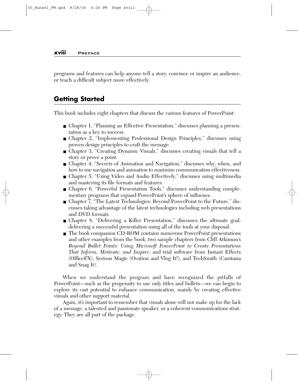#### **xviii** Preface

programs and features can help anyone tell a story, convince or inspire an audience, or teach a difficult subject more effectively.

## **Getting Started**

This book includes eight chapters that discuss the various features of PowerPoint:

- Chapter 1, "Planning an Effective Presentation," discusses planning a presentation as a key to success.
- Chapter 2, "Implementing Professional Design Principles," discusses using proven design principles to craft the message.
- Chapter 3, "Creating Dynamic Visuals," discusses creating visuals that tell a story or prove a point.
- Chapter 4, "Secrets of Animation and Navigation," discusses why, when, and how to use navigation and animation to maximize communication effectiveness.
- Chapter 5, "Using Video and Audio Effectively," discusses using multimedia and mastering its file formats and features.
- Chapter 6, "Powerful Presentation Tools," discusses understanding complementary programs that expand PowerPoint's sphere of influence.
- Chapter 7, "The Latest Technologies: Beyond PowerPoint to the Future," discusses taking advantage of the latest technologies including web presentations and DVD formats.
- Chapter 8, "Delivering a Killer Presentation," discusses the ultimate goal: delivering a successful presentation using all of the tools at your disposal.
- The book companion CD-ROM contains numerous PowerPoint presentations and other examples from the book, two sample chapters from Cliff Atkinson's *Beyond Bullet Points: Using Microsoft PowerPoint to Create Presentations That Inform, Motivate, and Inspire*, and trial software from Instant Effects (OfficeFX), Serious Magic (Ovation and Vlog It!), and TechSmith (Camtasia and Snag It).

When we understand the program and have recognized the pitfalls of PowerPoint—such as the propensity to use only titles and bullets—we can begin to explore its vast potential to enhance communication, mainly by creating effective visuals and other support material.

Again, it's important to remember that visuals alone will not make up for the lack of a message, a talented and passionate speaker, or a coherent communications strategy. They are all part of the package.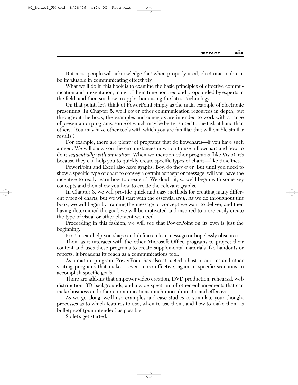But most people will acknowledge that when properly used, electronic tools can be invaluable in communicating effectively.

What we'll do in this book is to examine the basic principles of effective communication and presentation, many of them time honored and propounded by experts in the field, and then see how to apply them using the latest technology.

On that point, let's think of PowerPoint simply as the main example of electronic presenting. In Chapter 5, we'll cover other communication resources in depth, but throughout the book, the examples and concepts are intended to work with a range of presentation programs, some of which may be better suited to the task at hand than others. (You may have other tools with which you are familiar that will enable similar results.)

For example, there are plenty of programs that do flowcharts—if you have such a need. We will show you the circumstances in which to use a flowchart and how to do it *sequentially with animation*. When we mention other programs (like Visio), it's because they can help you to quickly create specific types of charts—like timelines.

PowerPoint and Excel also have graphs. Boy, do they ever. But until you need to show a specific type of chart to convey a certain concept or message, will you have the incentive to really learn how to create it? We doubt it, so we'll begin with some key concepts and then show you how to create the relevant graphs.

In Chapter 3, we will provide quick and easy methods for creating many different types of charts, but we will start with the essential *why*. As we do throughout this book, we will begin by framing the message or concept we want to deliver, and then having determined the goal, we will be motivated and inspired to more easily create the type of visual or other element we need.

Proceeding in this fashion, we will see that PowerPoint on its own is just the beginning.

First, it can help you shape and define a clear message or hopelessly obscure it.

Then, as it interacts with the other Microsoft Office programs to project their content and uses these programs to create supplemental materials like handouts or reports, it broadens its reach as a communications tool.

As a mature program, PowerPoint has also attracted a host of add-ins and other visiting programs that make it even more effective, again in specific scenarios to accomplish specific goals.

There are add-ins that empower video creation, DVD production, rehearsal, web distribution, 3D backgrounds, and a wide spectrum of other enhancements that can make business and other communications much more dramatic and effective.

As we go along, we'll use examples and case studies to stimulate your thought processes as to which features to use, when to use them, and how to make them as bulletproof (pun intended) as possible.

So let's get started.